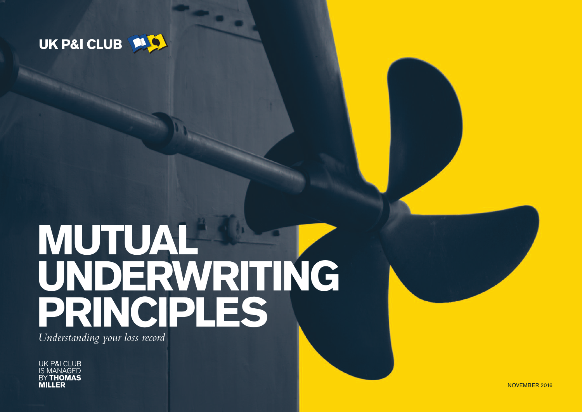

# MUTUAL UNDERWRITING PRINCIPLES

- -

Understanding your loss record

**UK P&I CLUB IS MANAGED BY THOMAS MILLER**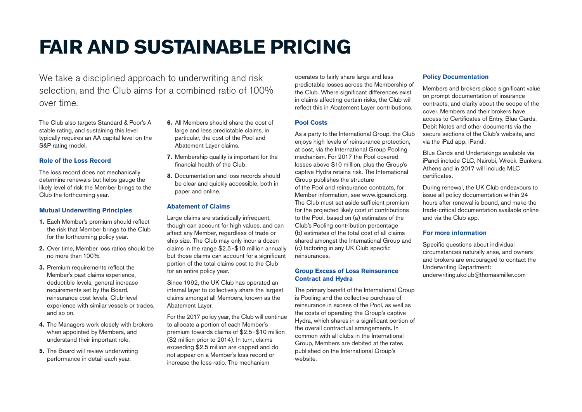## **FAIR AND SUSTAINABLE PRICING**

We take a disciplined approach to underwriting and risk selection, and the Club aims for a combined ratio of 100% over time.

The Club also targets Standard & Poor's A stable rating, and sustaining this level typically requires an AA capital level on the S&P rating model.

#### **Role of the Loss Record**

The loss record does not mechanically determine renewals but helps gauge the likely level of risk the Member brings to the Club the forthcoming year.

#### **Mutual Underwriting Principles**

- **1.** Each Member's premium should reflect the risk that Member brings to the Club for the forthcoming policy year.
- **2.** Over time, Member loss ratios should be no more than 100%.
- **3.** Premium requirements reflect the Member's past claims experience, deductible levels, general increase requirements set by the Board, reinsurance cost levels, Club-level experience with similar vessels or trades, and so on.
- **4.** The Managers work closely with brokers when appointed by Members, and understand their important role.
- **5.** The Board will review underwriting performance in detail each year.
- **6.** All Members should share the cost of large and less predictable claims, in particular, the cost of the Pool and Abatement Layer claims.
- **7.** Membership quality is important for the financial health of the Club.
- **8.** Documentation and loss records should be clear and quickly accessible, both in paper and online.

#### **Abatement of Claims**

Large claims are statistically infrequent, though can account for high values, and can affect any Member, regardless of trade or ship size. The Club may only incur a dozen claims in the range \$2.5-\$10 million annually but those claims can account for a significant portion of the total claims cost to the Club for an entire policy year.

Since 1992, the UK Club has operated an internal layer to collectively share the largest claims amongst all Members, known as the Abatement Layer.

For the 2017 policy year, the Club will continue to allocate a portion of each Member's premium towards claims of \$2.5-\$10 million (\$2 million prior to 2014). In turn, claims exceeding \$2.5 million are capped and do not appear on a Member's loss record or increase the loss ratio. The mechanism

operates to fairly share large and less predictable losses across the Membership of the Club. Where significant differences exist in claims affecting certain risks, the Club will reflect this in Abatement Layer contributions.

#### **Pool Costs**

As a party to the International Group, the Club enjoys high levels of reinsurance protection. at cost, via the International Group Pooling mechanism. For 2017 the Pool covered losses above \$10 million, plus the Group's captive Hydra retains risk. The International Group publishes the structure of the Pool and reinsurance contracts, for Member information, see www.igpandi.org. The Club must set aside sufficient premium for the projected likely cost of contributions to the Pool, based on (a) estimates of the Club's Pooling contribution percentage (b) estimates of the total cost of all claims shared amongst the International Group and (c) factoring in any UK Club specific reinsurances.

#### **Group Excess of Loss Reinsurance Contract and Hydra**

The primary benefit of the International Group is Pooling and the collective purchase of reinsurance in excess of the Pool, as well as the costs of operating the Group's captive Hydra, which shares in a significant portion of the overall contractual arrangements. In common with all clubs in the International Group, Members are debited at the rates published on the International Group's website.

#### **Policy Documentation**

Members and brokers place significant value on prompt documentation of insurance contracts, and clarity about the scope of the cover. Members and their brokers have access to Certificates of Entry, Blue Cards, Debit Notes and other documents via the secure sections of the Club's website, and via the iPad app, iPandi.

Blue Cards and Undertakings available via iPandi include CLC, Nairobi, Wreck, Bunkers, Athens and in 2017 will include MLC certificates.

During renewal, the UK Club endeavours to issue all policy documentation within 24 hours after renewal is bound, and make the trade-critical documentation available online and via the Club app.

#### **For more information**

Specific questions about individual circumstances naturally arise, and owners and brokers are encouraged to contact the Underwriting Department: underwriting.ukclub@thomasmiller.com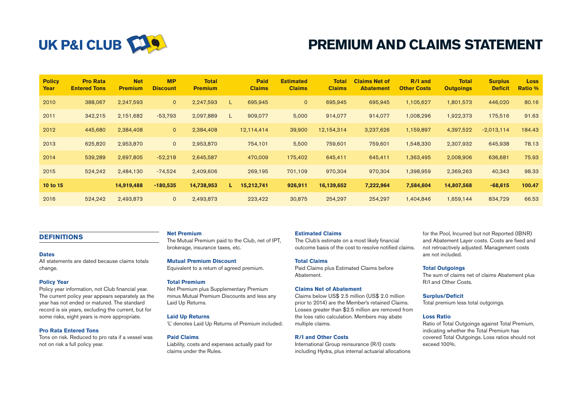

### **PREMIUM AND CLAIMS STATEMENT**

| <b>Policy</b><br><b>Year</b> | <b>Pro Rata</b><br><b>Entered Tons</b> | <b>Net</b><br><b>Premium</b> | <b>MP</b><br><b>Discount</b> | <b>Total</b><br><b>Premium</b> |    | <b>Paid</b><br><b>Claims</b> | <b>Estimated</b><br><b>Claims</b> | <b>Total</b><br><b>Claims</b> | <b>Claims Net of</b><br><b>Abatement</b> | <b>R/I and</b><br><b>Other Costs</b> | <b>Total</b><br><b>Outgoings</b> | <b>Surplus</b><br><b>Deficit</b> | Loss<br><b>Ratio %</b> |
|------------------------------|----------------------------------------|------------------------------|------------------------------|--------------------------------|----|------------------------------|-----------------------------------|-------------------------------|------------------------------------------|--------------------------------------|----------------------------------|----------------------------------|------------------------|
| 2010                         | 388.067                                | 2,247,593                    | $\overline{0}$               | 2,247,593                      | L. | 695,945                      | $\mathbf{0}$                      | 695,945                       | 695,945                                  | 1,105,627                            | 1,801,573                        | 446,020                          | 80.16                  |
| 2011                         | 342,215                                | 2,151,682                    | $-53,793$                    | 2,097,889                      | L. | 909,077                      | 5,000                             | 914,077                       | 914,077                                  | 1,008,296                            | 1,922,373                        | 175,516                          | 91.63                  |
| 2012                         | 445,680                                | 2,384,408                    | $\mathsf{O}$                 | 2,384,408                      |    | 12,114,414                   | 39,900                            | 12,154,314                    | 3,237,626                                | 1,159,897                            | 4,397,522                        | $-2,013,114$                     | 184.43                 |
| 2013                         | 625,820                                | 2,953,870                    | $\mathbf{0}$                 | 2,953,870                      |    | 754,101                      | 5,500                             | 759,601                       | 759,601                                  | 1,548,330                            | 2,307,932                        | 645,938                          | 78.13                  |
| 2014                         | 539,289                                | 2,697,805                    | $-52,218$                    | 2,645,587                      |    | 470,009                      | 175,402                           | 645,411                       | 645,411                                  | 1,363,495                            | 2,008,906                        | 636,681                          | 75.93                  |
| 2015                         | 524,242                                | 2,484,130                    | $-74,524$                    | 2,409,606                      |    | 269,195                      | 701,109                           | 970,304                       | 970,304                                  | 1,398,959                            | 2,369,263                        | 40,343                           | 98.33                  |
| 10 to 15                     |                                        | 14,919,488                   | $-180,535$                   | 14,738,953                     | L. | 15,212,741                   | 926,911                           | 16,139,652                    | 7,222,964                                | 7,584,604                            | 14,807,568                       | $-68,615$                        | 100.47                 |
| 2016                         | 524,242                                | 2,493,873                    | $\mathbf{0}$                 | 2,493,873                      |    | 223,422                      | 30,875                            | 254,297                       | 254,297                                  | 1,404,846                            | 1,659,144                        | 834,729                          | 66.53                  |

#### **DEFINITIONS**

#### **Dates**

All statements are dated because claims totals change.

#### **Policy Year**

Policy year information, not Club financial year. The current policy year appears separately as the year has not ended or matured. The standard record is six years, excluding the current, but for some risks, eight years is more appropriate.

#### **Pro Rata Entered Tons**

Tons on risk. Reduced to pro rata if a vessel was not on risk a full policy year.

#### **Net Premium**

The Mutual Premium paid to the Club, net of IPT, brokerage, insurance taxes, etc.

#### **Mutual Premium Discount**

Equivalent to a return of agreed premium.

#### **Total Premium**

Net Premium plus Supplementary Premium minus Mutual Premium Discounts and less any Laid Up Returns.

#### **Laid Up Returns**

'L' denotes Laid Up Returns of Premium included.

#### **Paid Claims**

Liability, costs and expenses actually paid for claims under the Rules.

#### **Estimated Claims**

The Club's estimate on a most likely financial outcome basis of the cost to resolve notified claims.

#### **Total Claims**

Paid Claims plus Estimated Claims before Abatement.

#### **Claims Net of Abatement**

Claims below US\$ 2.5 million (US\$ 2.0 million prior to 2014) are the Member's retained Claims. Losses greater than \$2.5 million are removed from the loss ratio calculation. Members may abate multiple claims.

#### **R/I and Other Costs**

International Group reinsurance (R/I) costs including Hydra, plus internal actuarial allocations

for the Pool, Incurred but not Reported (IBNR) and Abatement Layer costs. Costs are fixed and not retroactively adjusted. Management costs are not included.

#### **Total Outgoings**

The sum of claims net of claims Abatement plus R/I and Other Costs.

#### **Surplus/Deficit**

Total premium less total outgoings.

#### **Loss Ratio**

Ratio of Total Outgoings against Total Premium, indicating whether the Total Premium has covered Total Outgoings. Loss ratios should not exceed 100%.